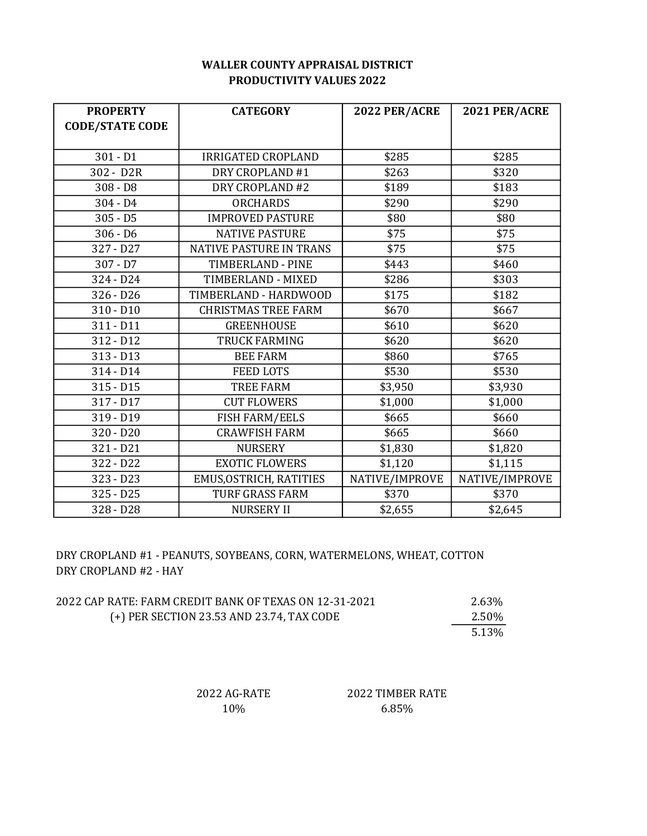## WALLER COUNTY APPRAISAL DISTRICT PRODUCTIVITY VALUES 2022

| <b>PROPERTY</b>        | <b>CATEGORY</b>                | <b>2022 PER/ACRE</b> | 2021 PER/ACRE  |
|------------------------|--------------------------------|----------------------|----------------|
| <b>CODE/STATE CODE</b> |                                |                      |                |
|                        |                                |                      |                |
| $301 - D1$             | <b>IRRIGATED CROPLAND</b>      | \$285                | \$285          |
| 302 - D2R              | DRY CROPLAND #1                | \$263                | \$320          |
| $308 - D8$             | DRY CROPLAND #2                | \$189                | \$183          |
| $304 - D4$             | <b>ORCHARDS</b>                | \$290                | \$290          |
| $305 - D5$             | <b>IMPROVED PASTURE</b>        | \$80                 | \$80           |
| $306 - D6$             | <b>NATIVE PASTURE</b>          | \$75                 | \$75           |
| 327 - D27              | <b>NATIVE PASTURE IN TRANS</b> | \$75                 | \$75           |
| $307 - D7$             | <b>TIMBERLAND - PINE</b>       | \$443                | \$460          |
| 324 - D24              | TIMBERLAND - MIXED             | \$286                | \$303          |
| $326 - D26$            | TIMBERLAND - HARDWOOD          | \$175                | \$182          |
| $310 - D10$            | <b>CHRISTMAS TREE FARM</b>     | \$670                | \$667          |
| $311 - D11$            | <b>GREENHOUSE</b>              | \$610                | \$620          |
| 312 - D12              | <b>TRUCK FARMING</b>           | \$620                | \$620          |
| $313 - D13$            | <b>BEE FARM</b>                | \$860                | \$765          |
| 314 - D14              | <b>FEED LOTS</b>               | \$530                | \$530          |
| $315 - D15$            | <b>TREE FARM</b>               | \$3,950              | \$3,930        |
| 317 - D17              | <b>CUT FLOWERS</b>             | \$1,000              | \$1,000        |
| 319 - D19              | <b>FISH FARM/EELS</b>          | \$665                | \$660          |
| $320 - D20$            | <b>CRAWFISH FARM</b>           | \$665                | \$660          |
| $321 - D21$            | <b>NURSERY</b>                 | \$1,830              | \$1,820        |
| 322 - D22              | <b>EXOTIC FLOWERS</b>          | \$1,120              | \$1,115        |
| $323 - D23$            | EMUS, OSTRICH, RATITIES        | NATIVE/IMPROVE       | NATIVE/IMPROVE |
| $325 - D25$            | <b>TURF GRASS FARM</b>         | \$370                | \$370          |
| 328 - D28              | <b>NURSERY II</b>              | \$2,655              | \$2,645        |

DRY CROPLAND #1 - PEANUTS, SOYBEANS, CORN, WATERMELONS, WHEAT, COTTON DRY CROPLAND #2 - HAY

| 2022 CAP RATE: FARM CREDIT BANK OF TEXAS ON 12-31-2021 | 2.63% |
|--------------------------------------------------------|-------|
| (+) PER SECTION 23.53 AND 23.74, TAX CODE              | 2.50% |
|                                                        | 5.13% |

2022 AG-RATE 2022 TIMBER RATE 10% 6.85%